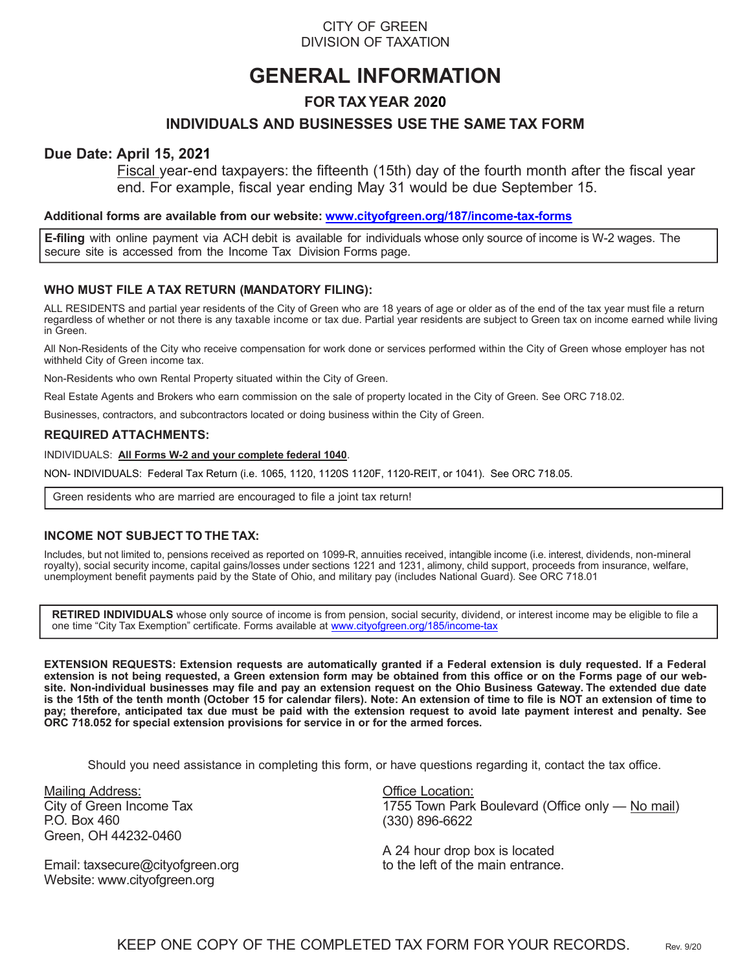# CITY OF GREEN DIVISION OF TAXATION

# **GENERAL INFORMATION**

# **FOR TAX YEAR 2020**

# **INDIVIDUALS AND BUSINESSES USE THE SAME TAX FORM**

# **Due Date: April 15, 2021**

Fiscal year-end taxpayers: the fifteenth (15th) day of the fourth month after the fiscal year end. For example, fiscal year ending May 31 would be due September 15.

#### **Additional forms are available from our website: www.cityofgreen.org/187/income-tax-forms**

**E-filing** with online payment via ACH debit is available for individuals whose only source of income is W-2 wages. The secure site is accessed from the Income Tax Division Forms page.

# **WHO MUST FILE A TAX RETURN (MANDATORY FILING):**

ALL RESIDENTS and partial year residents of the City of Green who are 18 years of age or older as of the end of the tax year must file a return regardless of whether or not there is any taxable income or tax due. Partial year residents are subject to Green tax on income earned while living in Green.

All Non-Residents of the City who receive compensation for work done or services performed within the City of Green whose employer has not withheld City of Green income tax.

Non-Residents who own Rental Property situated within the City of Green.

Real Estate Agents and Brokers who earn commission on the sale of property located in the City of Green. See ORC 718.02.

Businesses, contractors, and subcontractors located or doing business within the City of Green.

## **REQUIRED ATTACHMENTS:**

#### INDIVIDUALS: **All Forms W-2 and your complete federal 1040**.

NON- INDIVIDUALS: Federal Tax Return (i.e. 1065, 1120, 1120S 1120F, 1120-REIT, or 1041). See ORC 718.05.

Green residents who are married are encouraged to file a joint tax return!

## **INCOME NOT SUBJECT TO THE TAX:**

Includes, but not limited to, pensions received as reported on 1099-R, annuities received, intangible income (i.e. interest, dividends, non-mineral royalty), social security income, capital gains/losses under sections 1221 and 1231, alimony, child support, proceeds from insurance, welfare, unemployment benefit payments paid by the State of Ohio, and military pay (includes National Guard). See ORC 718.01

**RETIRED INDIVIDUALS** whose only source of income is from pension, social security, dividend, or interest income may be eligible to file a one time "City Tax Exemption" certificate. Forms available at www.cityofgreen.org/185/income-tax

**EXTENSION REQUESTS: Extension requests are automatically granted if a Federal extension is duly requested. If a Federal extension is not being requested, a Green extension form may be obtained from this office or on the Forms page of our website. Non-individual businesses may file and pay an extension request on the Ohio Business Gateway. The extended due date is the 15th of the tenth month (October 15 for calendar filers). Note: An extension of time to file is NOT an extension of time to pay; therefore, anticipated tax due must be paid with the extension request to avoid late payment interest and penalty. See ORC 718.052 for special extension provisions for service in or for the armed forces.**

Should you need assistance in completing this form, or have questions regarding it, contact the tax office.

Mailing Address: City of Green Income Tax P.O. Box 460 Green, OH 44232-0460

Email: taxsecure@cityofgreen.org Website: www.cityofgreen.org

Office Location: 1755 Town Park Boulevard (Office only — No mail) (330) 896-6622

A 24 hour drop box is located to the left of the main entrance.